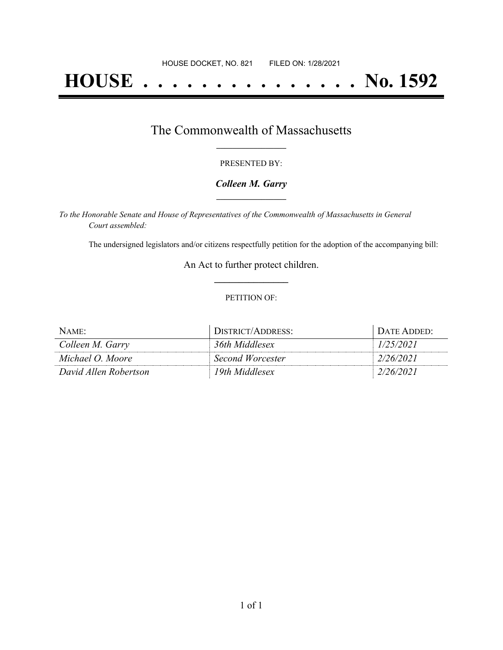# **HOUSE . . . . . . . . . . . . . . . No. 1592**

## The Commonwealth of Massachusetts **\_\_\_\_\_\_\_\_\_\_\_\_\_\_\_\_\_**

#### PRESENTED BY:

#### *Colleen M. Garry* **\_\_\_\_\_\_\_\_\_\_\_\_\_\_\_\_\_**

*To the Honorable Senate and House of Representatives of the Commonwealth of Massachusetts in General Court assembled:*

The undersigned legislators and/or citizens respectfully petition for the adoption of the accompanying bill:

An Act to further protect children. **\_\_\_\_\_\_\_\_\_\_\_\_\_\_\_**

#### PETITION OF:

| $N$ AME:              | DISTRICT/ADDRESS: | DATE ADDED: |
|-----------------------|-------------------|-------------|
| Colleen M. Garry      | 36th Middlesex    | 1/25/2021   |
| Michael O. Moore      | Second Worcester  | 2/26/2021   |
| David Allen Robertson | 19th Middlesex    | 2/26/2021   |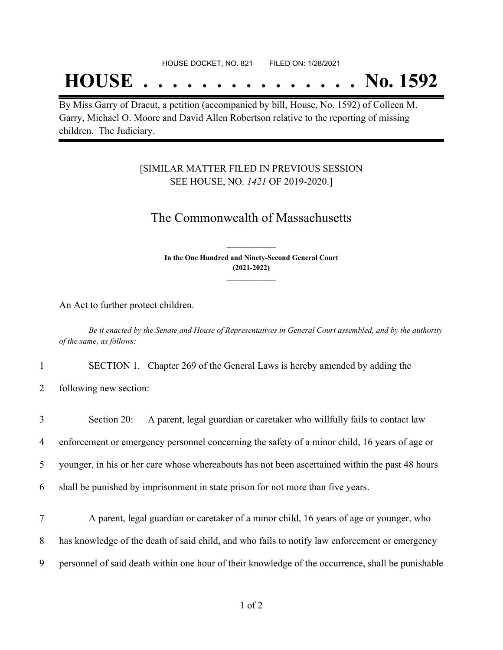#### HOUSE DOCKET, NO. 821 FILED ON: 1/28/2021

## **HOUSE . . . . . . . . . . . . . . . No. 1592**

By Miss Garry of Dracut, a petition (accompanied by bill, House, No. 1592) of Colleen M. Garry, Michael O. Moore and David Allen Robertson relative to the reporting of missing children. The Judiciary.

### [SIMILAR MATTER FILED IN PREVIOUS SESSION SEE HOUSE, NO. *1421* OF 2019-2020.]

## The Commonwealth of Massachusetts

**In the One Hundred and Ninety-Second General Court (2021-2022) \_\_\_\_\_\_\_\_\_\_\_\_\_\_\_**

**\_\_\_\_\_\_\_\_\_\_\_\_\_\_\_**

An Act to further protect children.

Be it enacted by the Senate and House of Representatives in General Court assembled, and by the authority *of the same, as follows:*

1 SECTION 1. Chapter 269 of the General Laws is hereby amended by adding the

2 following new section:

| 3 | A parent, legal guardian or caretaker who willfully fails to contact law<br>Section 20:           |  |
|---|---------------------------------------------------------------------------------------------------|--|
| 4 | enforcement or emergency personnel concerning the safety of a minor child, 16 years of age or     |  |
| 5 | younger, in his or her care whose whereabouts has not been ascertained within the past 48 hours   |  |
| 6 | shall be punished by imprisonment in state prison for not more than five years.                   |  |
| 7 | A parent, legal guardian or caretaker of a minor child, 16 years of age or younger, who           |  |
| 8 | has knowledge of the death of said child, and who fails to notify law enforcement or emergency    |  |
| 9 | personnel of said death within one hour of their knowledge of the occurrence, shall be punishable |  |